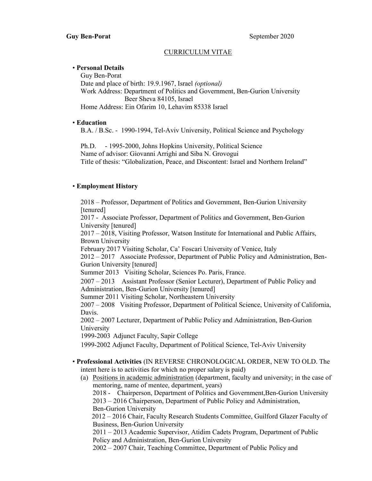# CURRICULUM VITAE

#### • Personal Details

 Guy Ben-Porat Date and place of birth: 19.9.1967, Israel (optional) Work Address: Department of Politics and Government, Ben-Gurion University Beer Sheva 84105, Israel Home Address: Ein Ofarim 10, Lehavim 85338 Israel

#### • Education

B.A. / B.Sc. - 1990-1994, Tel-Aviv University, Political Science and Psychology

 Ph.D. - 1995-2000, Johns Hopkins University, Political Science Name of advisor: Giovanni Arrighi and Siba N. Grovogui Title of thesis: "Globalization, Peace, and Discontent: Israel and Northern Ireland"

### • Employment History

 2018 – Professor, Department of Politics and Government, Ben-Gurion University [tenured] 2017 - Associate Professor, Department of Politics and Government, Ben-Gurion University [tenured] 2017 – 2018, Visiting Professor, Watson Institute for International and Public Affairs, Brown University February 2017 Visiting Scholar, Ca' Foscari University of Venice, Italy 2012 – 2017 Associate Professor, Department of Public Policy and Administration, Ben-Gurion University [tenured] Summer 2013 Visiting Scholar, Sciences Po. Paris, France. 2007 – 2013 Assistant Professor (Senior Lecturer), Department of Public Policy and Administration, Ben-Gurion University [tenured] Summer 2011 Visiting Scholar, Northeastern University 2007 – 2008 Visiting Professor, Department of Political Science, University of California, Davis. 2002 – 2007 Lecturer, Department of Public Policy and Administration, Ben-Gurion University 1999-2003 Adjunct Faculty, Sapir College 1999-2002 Adjunct Faculty, Department of Political Science, Tel-Aviv University • Professional Activities (IN REVERSE CHRONOLOGICAL ORDER, NEW TO OLD. The intent here is to activities for which no proper salary is paid) (a) Positions in academic administration (department, faculty and university; in the case of mentoring, name of mentee, department, years)

 2018 - Chairperson, Department of Politics and Government,Ben-Gurion University 2013 – 2016 Chairperson, Department of Public Policy and Administration, Ben-Gurion University

 2012 – 2016 Chair, Faculty Research Students Committee, Guilford Glazer Faculty of Business, Ben-Gurion University

 2011 – 2013 Academic Supervisor, Atidim Cadets Program, Department of Public Policy and Administration, Ben-Gurion University

2002 – 2007 Chair, Teaching Committee, Department of Public Policy and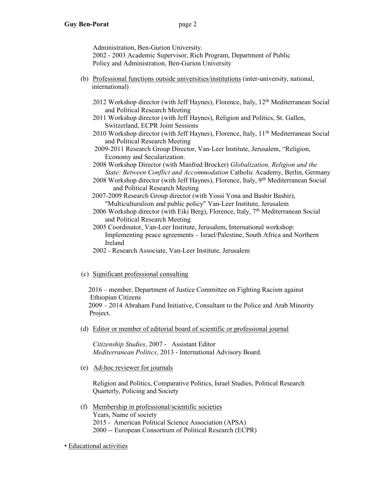Administration, Ben-Gurion University.

 2002 - 2003 Academic Supervisor, Rich Program, Department of Public Policy and Administration, Ben-Gurion University

- (b) Professional functions outside universities/institutions (inter-university, national, international)
	- 2012 Workshop director (with Jeff Haynes), Florence, Italy,  $12<sup>th</sup>$  Mediterranean Social and Political Research Meeting
	- 2011 Workshop director (with Jeff Haynes), Religion and Politics, St. Gallen, Switzerland, ECPR Joint Sessions
	- 2010 Workshop director (with Jeff Haynes), Florence, Italy, 11<sup>th</sup> Mediterranean Social and Political Research Meeting
	- 2009-2011 Research Group Director, Van-Leer Institute, Jerusalem, "Religion, Economy and Secularization.
	- 2008 Workshop Director (with Manfred Brocker) Globalization, Religion and the State: Between Conflict and Accommodation Catholic Academy, Berlin, Germany
	- 2008 Workshop director (with Jeff Haynes), Florence, Italy, 9th Mediterranean Social and Political Research Meeting
	- 2007-2009 Research Group director (with Yossi Yona and Bashir Bashir), "Multiculturalism and public policy" Van-Leer Institute, Jerusalem
	- 2006 Workshop director (with Eiki Berg), Florence, Italy, 7th Mediterranean Social and Political Research Meeting

 2005 Coordinator, Van-Leer Institute, Jerusalem, International workshop: Implementing peace agreements – Israel/Palestine, South Africa and Northern Ireland

2002 - Research Associate, Van-Leer Institute, Jerusalem

# (c) Significant professional consulting

 2016 – member, Department of Justice Committee on Fighting Racism against Ethiopian Citizens

 2009 – 2014 Abraham Fund Initiative, Consultant to the Police and Arab Minority Project.

(d) Editor or member of editorial board of scientific or professional journal

 Citizenship Studies, 2007 - Assistant Editor Mediterranean Politics, 2013 - International Advisory Board.

(e) Ad-hoc reviewer for journals

 Religion and Politics, Comparative Politics, Israel Studies, Political Research Quarterly, Policing and Society

 (f) Membership in professional/scientific societies Years, Name of society 2015 - American Political Science Association (APSA) 2000 -- European Consortium of Political Research (ECPR)

• Educational activities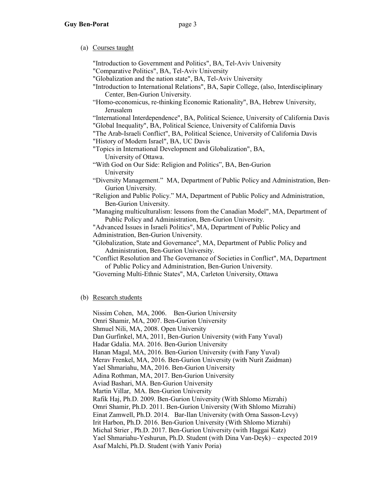### (a) Courses taught

 "Introduction to Government and Politics", BA, Tel-Aviv University "Comparative Politics", BA, Tel-Aviv University "Globalization and the nation state", BA, Tel-Aviv University "Introduction to International Relations", BA, Sapir College, (also, Interdisciplinary Center, Ben-Gurion University. "Homo-economicus, re-thinking Economic Rationality", BA, Hebrew University, Jerusalem "International Interdependence", BA, Political Science, University of California Davis "Global Inequality", BA, Political Science, University of California Davis "The Arab-Israeli Conflict", BA, Political Science, University of California Davis "History of Modern Israel", BA, UC Davis "Topics in International Development and Globalization", BA, University of Ottawa. "With God on Our Side: Religion and Politics", BA, Ben-Gurion University "Diversity Management." MA, Department of Public Policy and Administration, Ben- Gurion University. "Religion and Public Policy." MA, Department of Public Policy and Administration, Ben-Gurion University. "Managing multiculturalism: lessons from the Canadian Model", MA, Department of Public Policy and Administration, Ben-Gurion University. "Advanced Issues in Israeli Politics", MA, Department of Public Policy and Administration, Ben-Gurion University. "Globalization, State and Governance", MA, Department of Public Policy and Administration, Ben-Gurion University. "Conflict Resolution and The Governance of Societies in Conflict", MA, Department of Public Policy and Administration, Ben-Gurion University. "Governing Multi-Ethnic States", MA, Carleton University, Ottawa

# (b) Research students

Nissim Cohen, MA, 2006. Ben-Gurion University Omri Shamir, MA, 2007. Ben-Gurion University Shmuel Nili, MA, 2008. Open University Dan Gurfinkel, MA, 2011, Ben-Gurion University (with Fany Yuval) Hadar Gdalia. MA. 2016. Ben-Gurion University Hanan Magal, MA, 2016. Ben-Gurion University (with Fany Yuval) Merav Frenkel, MA, 2016. Ben-Gurion University (with Nurit Zaidman) Yael Shmariahu, MA, 2016. Ben-Gurion University Adina Rothman, MA, 2017. Ben-Gurion University Aviad Bashari, MA. Ben-Gurion University Martin Villar, MA. Ben-Gurion University Rafik Haj, Ph.D. 2009. Ben-Gurion University (With Shlomo Mizrahi) Omri Shamir, Ph.D. 2011. Ben-Gurion University (With Shlomo Mizrahi) Einat Zamwell, Ph.D. 2014. Bar-Ilan University (with Orna Sasson-Levy) Irit Harbon, Ph.D. 2016. Ben-Gurion University (With Shlomo Mizrahi) Michal Strier , Ph.D. 2017. Ben-Gurion University (with Haggai Katz) Yael Shmariahu-Yeshurun, Ph.D. Student (with Dina Van-Deyk) – expected 2019 Asaf Malchi, Ph.D. Student (with Yaniv Poria)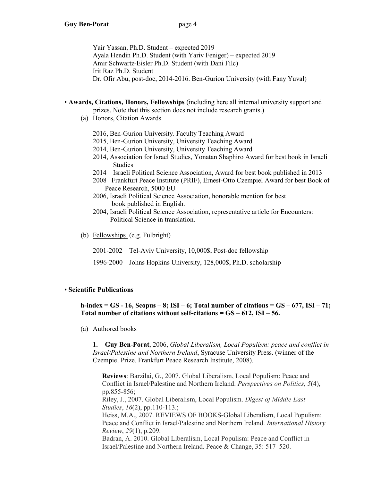Yair Yassan, Ph.D. Student – expected 2019 Ayala Hendin Ph.D. Student (with Yariv Feniger) – expected 2019 Amir Schwartz-Eisler Ph.D. Student (with Dani Filc) Irit Raz Ph.D. Student Dr. Ofir Abu, post-doc, 2014-2016. Ben-Gurion University (with Fany Yuval)

### • Awards, Citations, Honors, Fellowships (including here all internal university support and prizes. Note that this section does not include research grants.)

- (a) Honors, Citation Awards
	- 2016, Ben-Gurion University. Faculty Teaching Award
	- 2015, Ben-Gurion University, University Teaching Award
	- 2014, Ben-Gurion University, University Teaching Award
	- 2014, Association for Israel Studies, Yonatan Shaphiro Award for best book in Israeli Studies
	- 2014 Israeli Political Science Association, Award for best book published in 2013
	- 2008 Frankfurt Peace Institute (PRIF), Ernest-Otto Czempiel Award for best Book of Peace Research, 5000 EU
	- 2006, Israeli Political Science Association, honorable mention for best book published in English.
	- 2004, Israeli Political Science Association, representative article for Encounters: Political Science in translation.
- (b) Fellowships (e.g. Fulbright)
	- 2001-2002 Tel-Aviv University, 10,000\$, Post-doc fellowship
	- 1996-2000 Johns Hopkins University, 128,000\$, Ph.D. scholarship

#### • Scientific Publications

h-index  $=$  GS - 16, Scopus – 8; ISI – 6; Total number of citations  $=$  GS – 677, ISI – 71; Total number of citations without self-citations  $=$   $GS - 612$ , ISI  $-56$ .

(a) Authored books

1. Guy Ben-Porat, 2006, Global Liberalism, Local Populism: peace and conflict in Israel/Palestine and Northern Ireland, Syracuse University Press. (winner of the Czempiel Prize, Frankfurt Peace Research Institute, 2008).

Reviews: Barzilai, G., 2007. Global Liberalism, Local Populism: Peace and Conflict in Israel/Palestine and Northern Ireland. Perspectives on Politics, 5(4), pp.855-856; Riley, J., 2007. Global Liberalism, Local Populism. Digest of Middle East Studies, 16(2), pp.110-113.; Heiss, M.A., 2007. REVIEWS OF BOOKS-Global Liberalism, Local Populism: Peace and Conflict in Israel/Palestine and Northern Ireland. International History Review, 29(1), p.209. Badran, A. 2010. Global Liberalism, Local Populism: Peace and Conflict in Israel/Palestine and Northern Ireland. Peace & Change, 35: 517–520.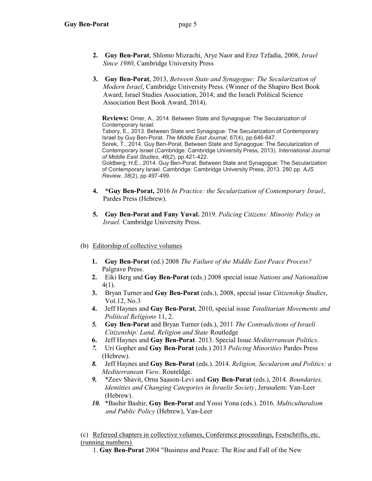- 2. Guy Ben-Porat, Shlomo Mizrachi, Arye Naor and Erez Tzfadia, 2008, Israel Since 1980, Cambridge University Press
- 3. Guy Ben-Porat, 2013, Between State and Synagogue: The Secularization of Modern Israel, Cambridge University Press. (Winner of the Shapiro Best Book Award, Israel Studies Association, 2014; and the Israeli Political Science Association Best Book Award, 2014).

Reviews: Omer, A., 2014. Between State and Synagogue: The Secularization of Contemporary Israel. Tabory, E., 2013. Between State and Synagogue: The Secularization of Contemporary Israel by Guy Ben-Porat. The Middle East Journal, 67(4), pp.646-647. Sorek, T., 2014. Guy Ben-Porat, Between State and Synagogue: The Secularization of

Contemporary Israel (Cambridge: Cambridge University Press, 2013). International Journal of Middle East Studies, 46(2), pp.421-422. Goldberg, H.E., 2014. Guy Ben-Porat. Between State and Synagogue: The Secularization

of Contemporary Israel. Cambridge: Cambridge University Press, 2013. 280 pp. AJS Review, 38(2), pp.497-499.

- 4. \*Guy Ben-Porat, 2016 In Practice: the Secularization of Contemporary Israel, Pardes Press (Hebrew).
- 5. Guy Ben-Porat and Fany Yuval. 2019. Policing Citizens: Minority Policy in Israel. Cambridge University Press.

# (b) Editorship of collective volumes

- 1. Guy Ben-Porat (ed.) 2008 The Failure of the Middle East Peace Process? Palgrave Press.
- 2. Eiki Berg and Guy Ben-Porat (eds.) 2008 special issue Nations and Nationalism 4(1).
- 3. Bryan Turner and Guy Ben-Porat (eds.), 2008, special issue Citizenship Studies, Vol.12, No.3
- 4. Jeff Haynes and Guy Ben-Porat, 2010, special issue Totalitarian Movements and Political Religions 11, 2.
- 5. Guy Ben-Porat and Bryan Turner (eds.), 2011 The Contradictions of Israeli Citizenship: Land, Religion and State Routledge
- 6. Jeff Haynes and Guy Ben-Porat. 2013. Special Issue Mediterranean Politics.
- 7. Uri Gopher and Guy Ben-Porat (eds.) 2013 Policing Minorities Pardes Press (Hebrew).
- 8. Jeff Haynes and Guy Ben-Porat (eds.). 2014. Religion, Secularism and Politics: a Mediterranean View. Routeldge.
- 9. \*Zeev Shavit, Orna Saason-Levi and Guy Ben-Porat (eds.), 2014. Boundaries, Identities and Changing Categories in Israelis Society, Jerusalem: Van-Leer (Hebrew).
- 10. \*Bashir Bashir, Guy Ben-Porat and Yossi Yona (eds.). 2016. Multiculturalism and Public Policy (Hebrew), Van-Leer

 (c) Refereed chapters in collective volumes, Conference proceedings, Festschrifts, etc. (running numbers)

1. Guy Ben-Porat 2004 "Business and Peace: The Rise and Fall of the New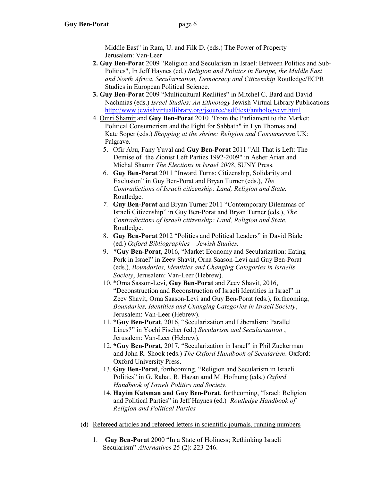Middle East" in Ram, U. and Filk D. (eds.) The Power of Property Jerusalem: Van-Leer

- 2. Guy Ben-Porat 2009 "Religion and Secularism in Israel: Between Politics and Sub- Politics", In Jeff Haynes (ed.) Religion and Politics in Europe, the Middle East and North Africa. Secularization, Democracy and Citizenship Routledge/ECPR Studies in European Political Science.
- 3. Guy Ben-Porat 2009 "Multicultural Realities" in Mitchel C. Bard and David Nachmias (eds.) Israel Studies: An Ethnology Jewish Virtual Library Publications http://www.jewishvirtuallibrary.org/jsource/isdf/text/anthologycvr.html
- 4. Omri Shamir and Guy Ben-Porat 2010 "From the Parliament to the Market: Political Consumerism and the Fight for Sabbath" in Lyn Thomas and Kate Soper (eds.) Shopping at the shrine: Religion and Consumerism UK: Palgrave.
	- 5. Ofir Abu, Fany Yuval and Guy Ben-Porat 2011 "All That is Left: The Demise of the Zionist Left Parties 1992-2009" in Asher Arian and Michal Shamir The Elections in Israel 2008, SUNY Press.
	- 6. Guy Ben-Porat 2011 "Inward Turns: Citizenship, Solidarity and Exclusion" in Guy Ben-Porat and Bryan Turner (eds.), The Contradictions of Israeli citizenship: Land, Religion and State. Routledge.
	- 7. Guy Ben-Porat and Bryan Turner 2011 "Contemporary Dilemmas of Israeli Citizenship" in Guy Ben-Porat and Bryan Turner (eds.), The Contradictions of Israeli citizenship: Land, Religion and State. Routledge.
	- 8. Guy Ben-Porat 2012 "Politics and Political Leaders" in David Biale (ed.) Oxford Bibliographies – Jewish Studies.
	- 9. \*Guy Ben-Porat, 2016, "Market Economy and Secularization: Eating Pork in Israel" in Zeev Shavit, Orna Saason-Levi and Guy Ben-Porat (eds.), Boundaries, Identities and Changing Categories in Israelis Society, Jerusalem: Van-Leer (Hebrew).
	- 10. \*Orna Sasson-Levi, Guy Ben-Porat and Zeev Shavit, 2016, "Deconstruction and Reconstruction of Israeli Identities in Israel" in Zeev Shavit, Orna Saason-Levi and Guy Ben-Porat (eds.), forthcoming, Boundaries, Identities and Changing Categories in Israeli Society, Jerusalem: Van-Leer (Hebrew).
	- 11. \*Guy Ben-Porat, 2016, "Secularization and Liberalism: Parallel Lines?" in Yochi Fischer (ed.) Secularism and Secularization , Jerusalem: Van-Leer (Hebrew).
	- 12. \*Guy Ben-Porat, 2017, "Secularization in Israel" in Phil Zuckerman and John R. Shook (eds.) The Oxford Handbook of Secularism. Oxford: Oxford University Press.
	- 13. Guy Ben-Porat, forthcoming, "Religion and Secularism in Israeli Politics" in G. Rahat, R. Hazan amd M. Hofnung (eds.) Oxford Handbook of Israeli Politics and Society.
	- 14. Hayim Katsman and Guy Ben-Porat, forthcoming, "Israel: Religion and Political Parties" in Jeff Haynes (ed.) Routledge Handbook of Religion and Political Parties
- (d) Refereed articles and refereed letters in scientific journals, running numbers
	- 1. Guy Ben-Porat 2000 "In a State of Holiness; Rethinking Israeli Secularism" Alternatives 25 (2): 223-246.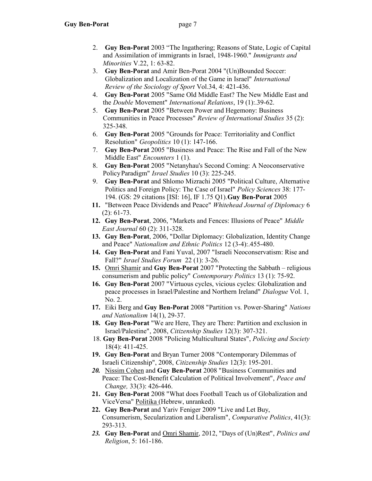- 2. Guy Ben-Porat 2003 "The Ingathering; Reasons of State, Logic of Capital and Assimilation of immigrants in Israel, 1948-1960." Immigrants and Minorities V.22, 1: 63-82.
- 3. Guy Ben-Porat and Amir Ben-Porat 2004 "(Un)Bounded Soccer: Globalization and Localization of the Game in Israel" International Review of the Sociology of Sport Vol.34, 4: 421-436.
- 4. Guy Ben-Porat 2005 "Same Old Middle East? The New Middle East and the Double Movement" International Relations, 19 (1):.39-62.
- 5. Guy Ben-Porat 2005 "Between Power and Hegemony: Business Communities in Peace Processes" Review of International Studies 35 (2): 325-348.
- 6. Guy Ben-Porat 2005 "Grounds for Peace: Territoriality and Conflict Resolution" Geopolitics 10 (1): 147-166.
- 7. Guy Ben-Porat 2005 "Business and Peace: The Rise and Fall of the New Middle East" Encounters 1 (1).
- 8. Guy Ben-Porat 2005 "Netanyhau's Second Coming: A Neoconservative Policy Paradigm" Israel Studies 10 (3): 225-245.
- 9. Guy Ben-Porat and Shlomo Mizrachi 2005 "Political Culture, Alternative Politics and Foreign Policy: The Case of Israel" Policy Sciences 38: 177- 194. (GS: 29 citations [ISI: 16], IF 1.75 Q1).Guy Ben-Porat 2005
- 11. "Between Peace Dividends and Peace" Whitehead Journal of Diplomacy 6 (2): 61-73.
- 12. Guy Ben-Porat, 2006, "Markets and Fences: Illusions of Peace" Middle East Journal 60 (2): 311-328.
- 13. Guy Ben-Porat, 2006, "Dollar Diplomacy: Globalization, Identity Change and Peace" Nationalism and Ethnic Politics 12 (3-4):.455-480.
- 14. Guy Ben-Porat and Fani Yuval, 2007 "Israeli Neoconservatism: Rise and Fall?" Israel Studies Forum 22 (1): 3-26.
- 15. Omri Shamir and Guy Ben-Porat 2007 "Protecting the Sabbath religious consumerism and public policy" Contemporary Politics 13 (1): 75-92.
- 16. Guy Ben-Porat 2007 "Virtuous cycles, vicious cycles: Globalization and peace processes in Israel/Palestine and Northern Ireland" Dialogue Vol. 1, No. 2.
- 17. Eiki Berg and Guy Ben-Porat 2008 "Partition vs. Power-Sharing" Nations and Nationalism 14(1), 29-37.
- 18. Guy Ben-Porat "We are Here, They are There: Partition and exclusion in Israel/Palestine", 2008, Citizenship Studies 12(3): 307-321.
- 18. Guy Ben-Porat 2008 "Policing Multicultural States", Policing and Society 18(4): 411-425.
- 19. Guy Ben-Porat and Bryan Turner 2008 "Contemporary Dilemmas of Israeli Citizenship", 2008, Citizenship Studies 12(3): 195-201.
- 20. Nissim Cohen and Guy Ben-Porat 2008 "Business Communities and Peace: The Cost-Benefit Calculation of Political Involvement", Peace and Change, 33(3): 426-446.
- 21. Guy Ben-Porat 2008 "What does Football Teach us of Globalization and ViceVersa" Politika (Hebrew, unranked).
- 22. Guy Ben-Porat and Yariv Feniger 2009 "Live and Let Buy, Consumerism, Secularization and Liberalism", Comparative Politics, 41(3): 293-313.
- 23. Guy Ben-Porat and Omri Shamir, 2012, "Days of (Un)Rest", Politics and Religion, 5: 161-186.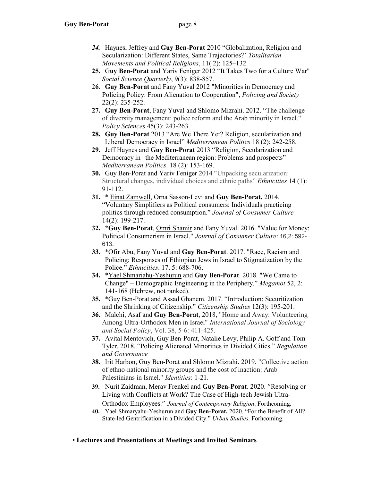- 24. Haynes, Jeffrey and Guy Ben-Porat 2010 "Globalization, Religion and Secularization: Different States, Same Trajectories?' Totalitarian Movements and Political Religions, 11( 2): 125–132.
- 25. Guy Ben-Porat and Yariv Feniger 2012 "It Takes Two for a Culture War" Social Science Quarterly, 9(3): 838-857.
- 26. Guy Ben-Porat and Fany Yuval 2012 "Minorities in Democracy and Policing Policy: From Alienation to Cooperation", Policing and Society 22(2): 235-252.
- 27. Guy Ben-Porat, Fany Yuval and Shlomo Mizrahi. 2012. "The challenge of diversity management: police reform and the Arab minority in Israel." Policy Sciences 45(3): 243-263.
- 28. Guy Ben-Porat 2013 "Are We There Yet? Religion, secularization and Liberal Democracy in Israel" Mediterranean Politics 18 (2): 242-258.
- 29. Jeff Haynes and Guy Ben-Porat 2013 "Religion, Secularization and Democracy in the Mediterranean region: Problems and prospects" Mediterranean Politics. 18 (2): 153-169.
- 30. Guy Ben-Porat and Yariv Feniger 2014 "Unpacking secularization: Structural changes, individual choices and ethnic paths" Ethnicities 14 (1): 91-112.
- 31. \* Einat Zamwell, Orna Sasson-Levi and Guy Ben-Porat. 2014. "Voluntary Simplifiers as Political consumers: Individuals practicing politics through reduced consumption." Journal of Consumer Culture 14(2): 199-217.
- 32. \*Guy Ben-Porat, Omri Shamir and Fany Yuval. 2016. "Value for Money: Political Consumerism in Israel." Journal of Consumer Culture: 16,2: 592- 613.
- 33. \*Ofir Abu, Fany Yuval and Guy Ben-Porat. 2017. "Race, Racism and Policing: Responses of Ethiopian Jews in Israel to Stigmatization by the Police." Ethnicities. 17, 5: 688-706.
- 34. \*Yael Shmariahu-Yeshurun and Guy Ben-Porat. 2018. "We Came to Change" – Demographic Engineering in the Periphery." Megamot 52, 2: 141-168 (Hebrew, not ranked).
- 35. \*Guy Ben-Porat and Assad Ghanem. 2017. "Introduction: Securitization and the Shrinking of Citizenship." Citizenship Studies 12(3): 195-201.
- 36. Malchi, Asaf and Guy Ben-Porat, 2018, "Home and Away: Volunteering Among Ultra-Orthodox Men in Israel" International Journal of Sociology and Social Policy, Vol. 38, 5-6: 411-425.
- 37. Avital Mentovich, Guy Ben-Porat, Natalie Levy, Philip A. Goff and Tom Tyler. 2018. "Policing Alienated Minorities in Divided Cities." Regulation and Governance
- 38. Irit Harbon, Guy Ben-Porat and Shlomo Mizrahi. 2019. "Collective action of ethno-national minority groups and the cost of inaction: Arab Palestinians in Israel." *Identities*: 1-21.
- 39. Nurit Zaidman, Merav Frenkel and Guy Ben-Porat. 2020. "Resolving or Living with Conflicts at Work? The Case of High-tech Jewish Ultra-Orthodox Employees." Journal of Contemporary Religion. Forthcoming.
- 40. Yael Shmaryahu-Yeshurun and Guy Ben-Porat. 2020. "For the Benefit of All? State-led Gentrification in a Divided City." Urban Studies. Forhcoming.
- Lectures and Presentations at Meetings and Invited Seminars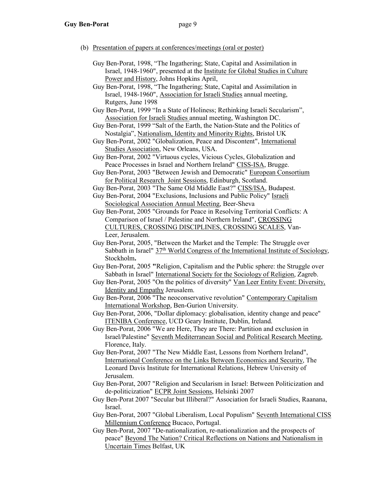- (b) Presentation of papers at conferences/meetings (oral or poster)
	- Guy Ben-Porat, 1998, "The Ingathering; State, Capital and Assimilation in Israel, 1948-1960", presented at the Institute for Global Studies in Culture Power and History, Johns Hopkins April,
	- Guy Ben-Porat, 1998, "The Ingathering; State, Capital and Assimilation in Israel, 1948-1960", Association for Israeli Studies annual meeting, Rutgers, June 1998
	- Guy Ben-Porat, 1999 "In a State of Holiness; Rethinking Israeli Secularism", Association for Israeli Studies annual meeting, Washington DC.
	- Guy Ben-Porat, 1999 "Salt of the Earth, the Nation-State and the Politics of Nostalgia", Nationalism, Identity and Minority Rights, Bristol UK
	- Guy Ben-Porat, 2002 "Globalization, Peace and Discontent", International Studies Association, New Orleans, USA.
	- Guy Ben-Porat, 2002 "Virtuous cycles, Vicious Cycles, Globalization and Peace Processes in Israel and Northern Ireland" CISS-ISA, Brugge.
	- Guy Ben-Porat, 2003 "Between Jewish and Democratic" European Consortium for Political Research Joint Sessions, Edinburgh, Scotland.
	- Guy Ben-Porat, 2003 "The Same Old Middle East?" CISS/ISA, Budapest.
	- Guy Ben-Porat, 2004 "Exclusions, Inclusions and Public Policy" Israeli Sociological Association Annual Meeting, Beer-Sheva
	- Guy Ben-Porat, 2005 "Grounds for Peace in Resolving Territorial Conflicts: A Comparison of Israel / Palestine and Northern Ireland", CROSSING CULTURES, CROSSING DISCIPLINES, CROSSING SCALES, Van- Leer, Jerusalem.
	- Guy Ben-Porat, 2005, "Between the Market and the Temple: The Struggle over Sabbath in Israel"  $37<sup>th</sup>$  World Congress of the International Institute of Sociology, Stockholm.
	- Guy Ben-Porat, 2005 "Religion, Capitalism and the Public sphere: the Struggle over Sabbath in Israel" International Society for the Sociology of Religion, Zagreb.
	- Guy Ben-Porat, 2005 "On the politics of diversity" Van Leer Entity Event: Diversity, Identity and Empathy Jerusalem.
	- Guy Ben-Porat, 2006 "The neoconservative revolution" Contemporary Capitalism International Workshop, Ben-Gurion University.
	- Guy Ben-Porat, 2006, "Dollar diplomacy: globalisation, identity change and peace" ITENIBA Conference, UCD Geary Institute, Dublin, Ireland.
	- Guy Ben-Porat, 2006 "We are Here, They are There: Partition and exclusion in Israel/Palestine" Seventh Mediterranean Social and Political Research Meeting, Florence, Italy.
	- Guy Ben-Porat, 2007 "The New Middle East, Lessons from Northern Ireland", International Conference on the Links Between Economics and Security, The Leonard Davis Institute for International Relations, Hebrew University of Jerusalem.
	- Guy Ben-Porat, 2007 "Religion and Secularism in Israel: Between Politicization and de-politicization" ECPR Joint Sessions, Helsinki 2007
	- Guy Ben-Porat 2007 "Secular but Illiberal?" Association for Israeli Studies, Raanana, Israel.
	- Guy Ben-Porat, 2007 "Global Liberalism, Local Populism" Seventh International CISS Millennium Conference Bucaco, Portugal.
	- Guy Ben-Porat, 2007 "De-nationalization, re-nationalization and the prospects of peace" Beyond The Nation? Critical Reflections on Nations and Nationalism in Uncertain Times Belfast, UK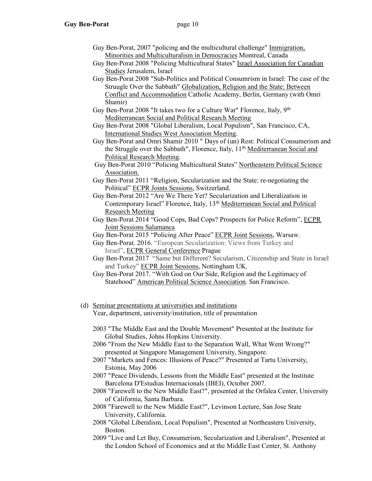- Guy Ben-Porat, 2007 "policing and the multicultural challenge" Immigration, Minorities and Multiculturalism in Democracies Montreal, Canada
- Guy Ben-Porat 2008 "Policing Multicultural States" Israel Association for Canadian Studies Jerusalem, Israel
- Guy Ben-Porat 2008 "Sub-Politics and Political Consumrism in Israel: The case of the Struugle Over the Sabbath" Globalization, Religion and the State: Between Conflict and Accommodation Catholic Academy, Berlin, Germany (with Omri Shamir)
- Guy Ben-Porat 2008 "It takes two for a Culture War" Florence, Italy, 9<sup>th</sup> Mediterranean Social and Political Research Meeting
	- Guy Ben-Porat 2008 "Global Liberalism, Local Populism", San Francisco, CA, International Studies West Association Meeting.
	- Guy Ben-Porat and Omri Shamir 2010 " Days of (un) Rest: Political Consumerism and the Struggle over the Sabbath", Florence, Italy, 11<sup>th</sup> Mediterranean Social and Political Research Meeting.
	- Guy Ben-Porat 2010 "Policing Multicultural States" Northeastern Political Science Association.
	- Guy Ben-Porat 2011 "Religion, Secularization and the State: re-negotiating the Political" ECPR Joints Sessions, Switzerland.
	- Guy Ben-Porat 2012 "Are We There Yet? Secularization and Liberalization in Contemporary Israel" Florence, Italy, 13th Mediterranean Social and Political Research Meeting
	- Guy Ben-Porat 2014 "Good Cops, Bad Cops? Prospects for Police Reform", ECPR Joint Sessions Salamanca
	- Guy Ben-Porat 2015 "Policing After Peace" ECPR Joint Sessions, Warsaw.
	- Guy Ben-Porat. 2016. "European Secularization: Views from Turkey and Israel", ECPR General Conference Prague
	- Guy Ben-Porat 2017 "Same but Different? Secularism, Citizenship and State in Israel and Turkey" ECPR Joint Sessions, Nottingham UK.
	- Guy Ben-Porat 2017. "With God on Our Side, Religion and the Legitimacy of Statehood" American Political Science Association. San Francisco.
	- (d) Seminar presentations at universities and institutions Year, department, university/institution, title of presentation
		- 2003 "The Middle East and the Double Movement" Presented at the Institute for Global Studies, Johns Hopkins University.
		- 2006 "From the New Middle East to the Separation Wall, What Went Wrong?" presented at Singapore Management University, Singapore.
		- 2007 "Markets and Fences: Illusions of Peace?" Presented at Tartu University, Estonia, May 2006
		- 2007 "Peace Dividends, Lessons from the Middle East" presented at the Institute Barcelona D'Estudias Internacionals (IBEI), October 2007.
		- 2008 "Farewell to the New Middle East?", presented at the Orfalea Center, University of California, Santa Barbara.
		- 2008 "Farewell to the New Middle East?", Levinson Lecture, San Jose State University, California.
		- 2008 "Global Liberalism, Local Populism", Presented at Northeastern University, Boston.
		- 2009 "Live and Let Buy, Consumerism, Secularization and Liberalism", Presented at the London School of Economics and at the Middle East Center, St. Anthony